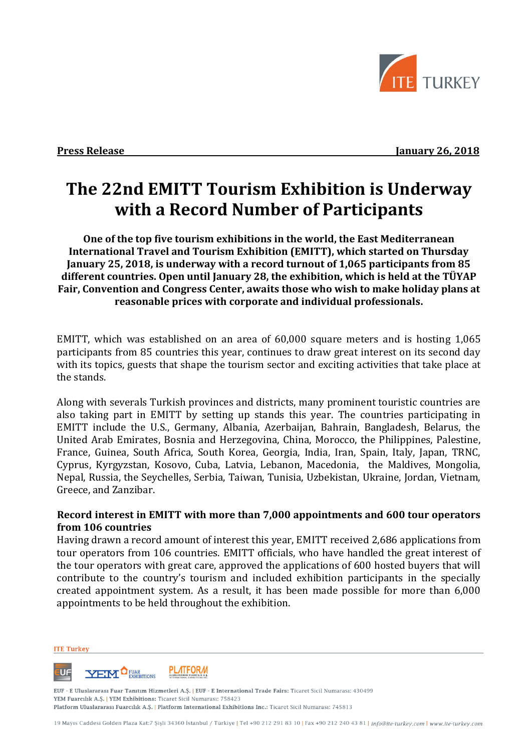

**Press Release January 26, 2018** 

## **The 22nd EMITT Tourism Exhibition is Underway with a Record Number of Participants**

**One of the top five tourism exhibitions in the world, the East Mediterranean International Travel and Tourism Exhibition (EMITT), which started on Thursday January 25, 2018, is underway with a record turnout of 1,065 participants from 85 different countries. Open until January 28, the exhibition, which is held at the TÜYAP Fair, Convention and Congress Center, awaits those who wish to make holiday plans at reasonable prices with corporate and individual professionals.** 

EMITT, which was established on an area of 60,000 square meters and is hosting 1,065 participants from 85 countries this year, continues to draw great interest on its second day with its topics, guests that shape the tourism sector and exciting activities that take place at the stands.

Along with severals Turkish provinces and districts, many prominent touristic countries are also taking part in EMITT by setting up stands this year. The countries participating in EMITT include the U.S., Germany, Albania, Azerbaijan, Bahrain, Bangladesh, Belarus, the United Arab Emirates, Bosnia and Herzegovina, China, Morocco, the Philippines, Palestine, France, Guinea, South Africa, South Korea, Georgia, India, Iran, Spain, Italy, Japan, TRNC, Cyprus, Kyrgyzstan, Kosovo, Cuba, Latvia, Lebanon, Macedonia, the Maldives, Mongolia, Nepal, Russia, the Seychelles, Serbia, Taiwan, Tunisia, Uzbekistan, Ukraine, Jordan, Vietnam, Greece, and Zanzibar.

## **Record interest in EMITT with more than 7,000 appointments and 600 tour operators from 106 countries**

Having drawn a record amount of interest this year, EMITT received 2,686 applications from tour operators from 106 countries. EMITT officials, who have handled the great interest of the tour operators with great care, approved the applications of 600 hosted buyers that will contribute to the country's tourism and included exhibition participants in the specially created appointment system. As a result, it has been made possible for more than 6,000 appointments to be held throughout the exhibition.

**ITE Turkey** 



EUF - E Uluslararası Fuar Tanıtım Hizmetleri A.Ş. | EUF - E International Trade Fairs: Ticaret Sicil Numarası: 430499 YEM Fuarcılık A.Ş. | YEM Exhibitions: Ticaret Sicil Numarası: 758423 Platform Uluslararası Fuarcılık A.Ş. | Platform International Exhibitions Inc.: Ticaret Sicil Numarası: 745813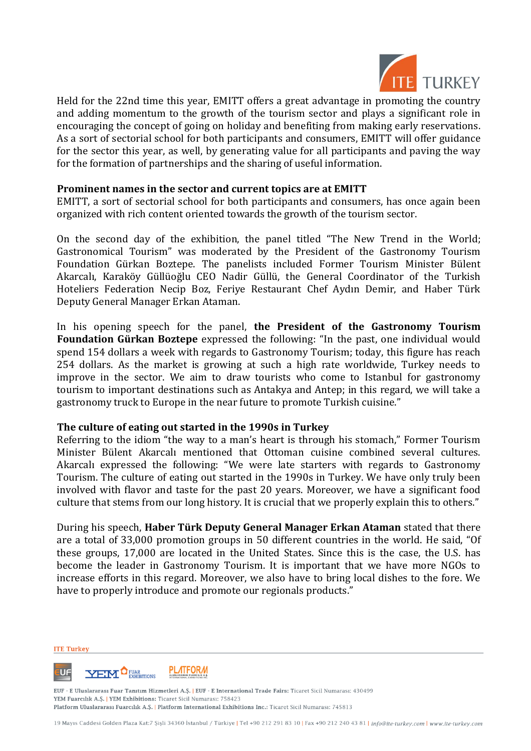

Held for the 22nd time this year, EMITT offers a great advantage in promoting the country and adding momentum to the growth of the tourism sector and plays a significant role in encouraging the concept of going on holiday and benefiting from making early reservations. As a sort of sectorial school for both participants and consumers, EMITT will offer guidance for the sector this year, as well, by generating value for all participants and paving the way for the formation of partnerships and the sharing of useful information.

## **Prominent names in the sector and current topics are at EMITT**

EMITT, a sort of sectorial school for both participants and consumers, has once again been organized with rich content oriented towards the growth of the tourism sector.

On the second day of the exhibition, the panel titled "The New Trend in the World; Gastronomical Tourism" was moderated by the President of the Gastronomy Tourism Foundation Gürkan Boztepe. The panelists included Former Tourism Minister Bülent Akarcalı, Karaköy Güllüoğlu CEO Nadir Güllü, the General Coordinator of the Turkish Hoteliers Federation Necip Boz, Feriye Restaurant Chef Aydın Demir, and Haber Türk Deputy General Manager Erkan Ataman.

In his opening speech for the panel, **the President of the Gastronomy Tourism Foundation Gürkan Boztepe** expressed the following: "In the past, one individual would spend 154 dollars a week with regards to Gastronomy Tourism; today, this figure has reach 254 dollars. As the market is growing at such a high rate worldwide, Turkey needs to improve in the sector. We aim to draw tourists who come to Istanbul for gastronomy tourism to important destinations such as Antakya and Antep; in this regard, we will take a gastronomy truck to Europe in the near future to promote Turkish cuisine."

## **The culture of eating out started in the 1990s in Turkey**

Referring to the idiom "the way to a man's heart is through his stomach," Former Tourism Minister Bülent Akarcalı mentioned that Ottoman cuisine combined several cultures. Akarcalı expressed the following: "We were late starters with regards to Gastronomy Tourism. The culture of eating out started in the 1990s in Turkey. We have only truly been involved with flavor and taste for the past 20 years. Moreover, we have a significant food culture that stems from our long history. It is crucial that we properly explain this to others."

During his speech, **Haber Türk Deputy General Manager Erkan Ataman** stated that there are a total of 33,000 promotion groups in 50 different countries in the world. He said, "Of these groups, 17,000 are located in the United States. Since this is the case, the U.S. has become the leader in Gastronomy Tourism. It is important that we have more NGOs to increase efforts in this regard. Moreover, we also have to bring local dishes to the fore. We have to properly introduce and promote our regionals products."

**ITE Turkey** 



EUF - E Uluslararası Fuar Tanıtım Hizmetleri A.Ş. | EUF - E International Trade Fairs: Ticaret Sicil Numarası: 430499 YEM Fuarcılık A.Ş. | YEM Exhibitions: Ticaret Sicil Numarası: 758423 Platform Uluslararası Fuarcılık A.Ş. | Platform International Exhibitions Inc.: Ticaret Sicil Numarası: 745813